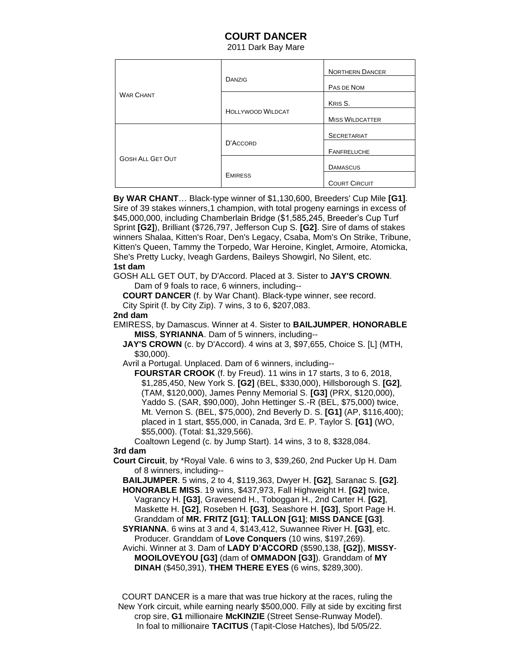## **COURT DANCER**

2011 Dark Bay Mare

| <b>WAR CHANT</b>        | DANZIG                   | <b>NORTHERN DANCER</b> |
|-------------------------|--------------------------|------------------------|
|                         |                          | PAS DE NOM             |
|                         |                          | KRIS S.                |
|                         | <b>HOLLYWOOD WILDCAT</b> | <b>MISS WILDCATTER</b> |
| <b>GOSH ALL GET OUT</b> | D'ACCORD                 | <b>SECRETARIAT</b>     |
|                         |                          | <b>FANFRELUCHE</b>     |
|                         |                          | <b>DAMASCUS</b>        |
|                         | <b>EMIRESS</b>           | <b>COURT CIRCUIT</b>   |

 **By WAR CHANT**… Black-type winner of \$1,130,600, Breeders' Cup Mile **[G1]**. Sire of 39 stakes winners,1 champion, with total progeny earnings in excess of \$45,000,000, including Chamberlain Bridge (\$1,585,245, Breeder's Cup Turf Sprint **[G2]**), Brilliant (\$726,797, Jefferson Cup S. **[G2]**. Sire of dams of stakes winners Shalaa, Kitten's Roar, Den's Legacy, Csaba, Mom's On Strike, Tribune, Kitten's Queen, Tammy the Torpedo, War Heroine, Kinglet, Armoire, Atomicka, She's Pretty Lucky, Iveagh Gardens, Baileys Showgirl, No Silent, etc. **1st dam** 

 GOSH ALL GET OUT, by D'Accord. Placed at 3. Sister to **JAY'S CROWN**. Dam of 9 foals to race, 6 winners, including--

**COURT DANCER** (f. by War Chant). Black-type winner, see record.

City Spirit (f. by City Zip). 7 wins, 3 to 6, \$207,083.

## **2nd dam**

 EMIRESS, by Damascus. Winner at 4. Sister to **BAILJUMPER**, **HONORABLE MISS**, **SYRIANNA**. Dam of 5 winners, including--

 **JAY'S CROWN** (c. by D'Accord). 4 wins at 3, \$97,655, Choice S. [L] (MTH, \$30,000).

Avril a Portugal. Unplaced. Dam of 6 winners, including--

 **FOURSTAR CROOK** (f. by Freud). 11 wins in 17 starts, 3 to 6, 2018, \$1,285,450, New York S. **[G2]** (BEL, \$330,000), Hillsborough S. **[G2]**, (TAM, \$120,000), James Penny Memorial S. **[G3]** (PRX, \$120,000), Yaddo S. (SAR, \$90,000), John Hettinger S.-R (BEL, \$75,000) twice, Mt. Vernon S. (BEL, \$75,000), 2nd Beverly D. S. **[G1]** (AP, \$116,400); placed in 1 start, \$55,000, in Canada, 3rd E. P. Taylor S. **[G1]** (WO, \$55,000). (Total: \$1,329,566).

Coaltown Legend (c. by Jump Start). 14 wins, 3 to 8, \$328,084.

## **3rd dam**

 **Court Circuit**, by \*Royal Vale. 6 wins to 3, \$39,260, 2nd Pucker Up H. Dam of 8 winners, including--

 **BAILJUMPER**. 5 wins, 2 to 4, \$119,363, Dwyer H. **[G2]**, Saranac S. **[G2]**. **HONORABLE MISS**. 19 wins, \$437,973, Fall Highweight H. **[G2]** twice, Vagrancy H. **[G3]**, Gravesend H., Toboggan H., 2nd Carter H. **[G2]**,

 Maskette H. **[G2]**, Roseben H. **[G3]**, Seashore H. **[G3]**, Sport Page H. Granddam of **MR. FRITZ [G1]**; **TALLON [G1]**; **MISS DANCE [G3]**.

 **SYRIANNA**. 6 wins at 3 and 4, \$143,412, Suwannee River H. **[G3]**, etc. Producer. Granddam of **Love Conquers** (10 wins, \$197,269).

 Avichi. Winner at 3. Dam of **LADY D'ACCORD** (\$590,138, **[G2]**), **MISSY**-  **MOOILOVEYOU [G3]** (dam of **OMMADON [G3]**). Granddam of **MY DINAH** (\$450,391), **THEM THERE EYES** (6 wins, \$289,300).

 COURT DANCER is a mare that was true hickory at the races, ruling the New York circuit, while earning nearly \$500,000. Filly at side by exciting first crop sire, **G1** millionaire **McKINZIE** (Street Sense-Runway Model). In foal to millionaire **TACITUS** (Tapit-Close Hatches), lbd 5/05/22.